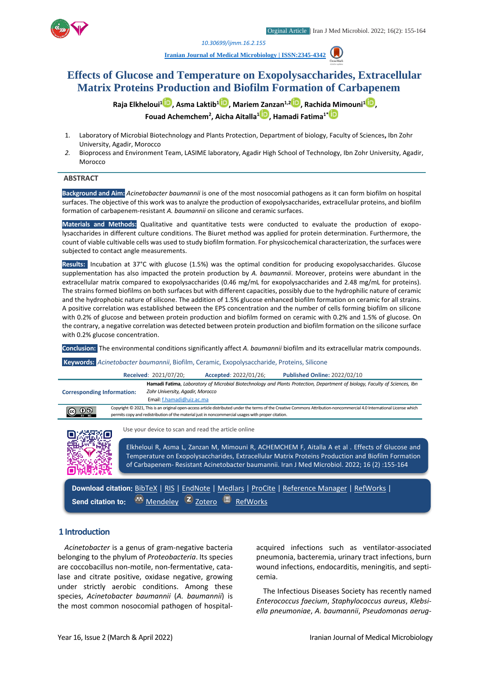

*1. [10.30699/ijmm.16.2.155](http://dx.doi.org/10.30699/ijmm.16.2.155)*

**[Iranian Journal of Medical Microbiology |](https://ijmm.ir/) ISSN:2345-4342**

# **Effects of Glucose and Temperature on Exopolysaccharides, Extracellular Matrix Proteins Production and Biofilm Formation of Carbapenem**

**Raja Elkheloui<sup>1</sup> [,](http://orcid.org/0000-0003-0610-2270) Asma Laktib<sup>1</sup> [,](http://orcid.org/0000-0001-5703-8438) Mariem Zanzan1,[2](http://orcid.org/0000-0002-0414-6547) , Rachida Mimouni[1](http://orcid.org/0000-0001-5950-8034) , Fouad Achemchem<sup>2</sup> , Aicha Aitalla[1](http://orcid.org/0000-0001-7888-1918) , Hamadi Fatima1[\\*](http://orcid.org/0000-0002-9740-1948)**

- 1. Laboratory of Microbial Biotechnology and Plants Protection, Department of biology, Faculty of Sciences**,** Ibn Zohr University, Agadir, Morocco
- *2.* Bioprocess and Environment Team, LASIME laboratory, Agadir High School of Technology, Ibn Zohr University, Agadir, Morocco

#### **ABSTRACT**

**Background and Aim:** *Acinetobacter baumannii* is one of the most nosocomial pathogens as it can form biofilm on hospital surfaces. The objective of this work was to analyze the production of exopolysaccharides, extracellular proteins, and biofilm formation of carbapenem-resistant *A. baumannii* on silicone and ceramic surfaces.

**Materials and Methods:** Qualitative and quantitative tests were conducted to evaluate the production of exopolysaccharides in different culture conditions. The Biuret method was applied for protein determination. Furthermore, the count of viable cultivable cells was used to study biofilm formation. For physicochemical characterization, the surfaces were subjected to contact angle measurements.

**Results:** Incubation at 37°C with glucose (1.5%) was the optimal condition for producing exopolysaccharides. Glucose supplementation has also impacted the protein production by *A. baumannii*. Moreover, proteins were abundant in the extracellular matrix compared to exopolysaccharides (0.46 mg/mL for exopolysaccharides and 2.48 mg/mL for proteins). The strains formed biofilms on both surfaces but with different capacities, possibly due to the hydrophilic nature of ceramic and the hydrophobic nature of silicone. The addition of 1.5% glucose enhanced biofilm formation on ceramic for all strains. A positive correlation was established between the EPS concentration and the number of cells forming biofilm on silicone with 0.2% of glucose and between protein production and biofilm formed on ceramic with 0.2% and 1.5% of glucose. On the contrary, a negative correlation was detected between protein production and biofilm formation on the silicone surface with 0.2% glucose concentration.

**Conclusion:** The environmental conditions significantly affect *A. baumannii* biofilm and its extracellular matrix compounds.

**Keywords:** *Acinetobacter baumannii*, Biofilm, Ceramic, Exopolysaccharide, Proteins, Silicone

**Received**: 2021/07/20; **Accepted**: 2022/01/26; **Published Online:** 2022/02/10

**Hamadi Fatima**, *Laboratory of Microbial Biotechnology and Plants Protection, Department of biology, Faculty of Sciences, Ibn Zohr University, Agadir, Morocco* **Corresponding Information:** Email: [f.hamadi@uiz.ac.ma](mailto:f.hamadi@uiz.ac.ma) Copyright © 2021, This is an original open-access article distributed under the terms of the Creative Commons Attribution-noncommercial 4.0 International License which  $@@@@$ permits copy and redistribution of the material just in noncommercial usages with proper citation.



Use your device to scan and read the article online

Elkheloui R, Asma L, Zanzan M, Mimouni R, ACHEMCHEM F, Aitalla A et al . Effects of Glucose and Temperature on Exopolysaccharides, Extracellular Matrix Proteins Production and Biofilm Formation of Carbapenem- Resistant Acinetobacter baumannii. Iran J Med Microbiol. 2022; 16 (2) :155-164

Download citation: [BibTeX](https://ijmm.ir/web2export.php?a_code=A-10-1657-1&sid=1&slc_lang=en&type=BibTeX) | [RIS](https://ijmm.ir/web2export.php?a_code=A-10-1657-1&sid=1&slc_lang=en&type=ris) | [EndNote](https://ijmm.ir/web2export.php?a_code=A-10-1657-1&sid=1&slc_lang=en&type=EndNote) | [Medlars](https://ijmm.ir/web2export.php?a_code=A-10-1657-1&sid=1&slc_lang=en&type=Medlars) | [ProCite](https://ijmm.ir/web2export.php?a_code=A-10-1657-1&sid=1&slc_lang=en&type=ProCite) | [Reference Manager](https://ijmm.ir/web2export.php?a_code=A-10-1657-1&sid=1&slc_lang=en&type=Reference_Manager) | [RefWorks](https://ijmm.ir/web2export.php?a_code=A-10-1657-1&sid=1&slc_lang=en&type=RefWorks) | Send citation to: **W** [Mendeley](http://www.mendeley.com/import/?url=https://ijmm.ir/article-1-1394-en.html) **Z** [Zotero](https://ijmm.ir/web2export.php?a_code=A-10-1657-1&sid=1&slc_lang=en&type=ris) **R** [RefWorks](http://www.refworks.com/express/ExpressImport.asp?vendor=Iran-J-Med-Microbiol&filter=RefWorks%20Tagged%20Format&encoding=65001&url=http%3A%2F%2Fijmm.ir%2Farticle-1-1394-en.html)

#### **1 Introduction**

*Acinetobacter* is a genus of gram-negative bacteria belonging to the phylum of *Proteobacteria*. Its species are coccobacillus non-motile, non-fermentative, catalase and citrate positive, oxidase negative, growing under strictly aerobic conditions. Among these species, *Acinetobacter baumannii* (*A. baumannii*) is the most common nosocomial pathogen of hospitalacquired infections such as ventilator-associated pneumonia, bacteremia, urinary tract infections, burn wound infections, endocarditis, meningitis, and septicemia.

The Infectious Diseases Society has recently named *Enterococcus faecium*, *Staphylococcus aureus*, *Klebsiella pneumoniae*, *A. baumannii*, *Pseudomonas aerug-*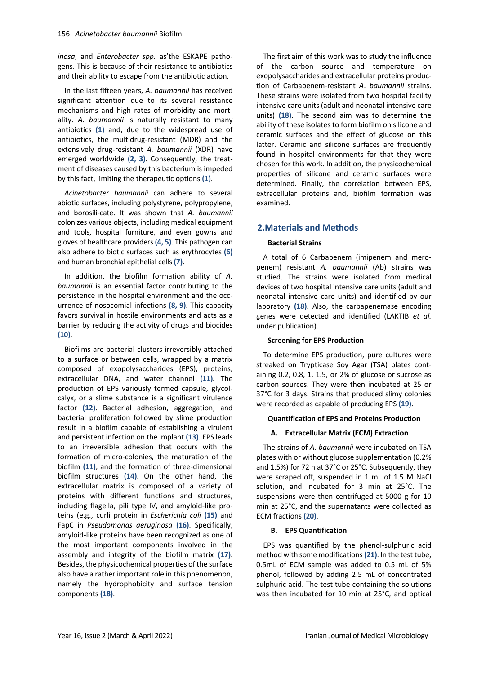*inosa*, and *Enterobacter spp.* as'the ESKAPE pathogens. This is because of their resistance to antibiotics and their ability to escape from the antibiotic action.

In the last fifteen years, *A. baumannii* has received significant attention due to its several resistance mechanisms and high rates of morbidity and mortality. *A. baumannii* is naturally resistant to many antibiotics **(1)** and, due to the widespread use of antibiotics, the multidrug-resistant (MDR) and the extensively drug-resistant *A. baumannii* (XDR) have emerged worldwide **(2, 3)**. Consequently, the treatment of diseases caused by this bacterium is impeded by this fact, limiting the therapeutic options **(1)**.

*Acinetobacter baumannii* can adhere to several abiotic surfaces, including polystyrene, polypropylene, and borosili-cate. It was shown that *A. baumannii* colonizes various objects, including medical equipment and tools, hospital furniture, and even gowns and gloves of healthcare providers **(4, 5)**. This pathogen can also adhere to biotic surfaces such as erythrocytes **(6)** and human bronchial epithelial cells **(7)**.

In addition, the biofilm formation ability of *A. baumannii* is an essential factor contributing to the persistence in the hospital environment and the occurrence of nosocomial infections **(8, 9)**. This capacity favors survival in hostile environments and acts as a barrier by reducing the activity of drugs and biocides **(10)**.

Biofilms are bacterial clusters irreversibly attached to a surface or between cells, wrapped by a matrix composed of exopolysaccharides (EPS), proteins, extracellular DNA, and water channel **(11).** The production of EPS variously termed capsule, glycolcalyx, or a slime substance is a significant virulence factor **(12)**. Bacterial adhesion, aggregation, and bacterial proliferation followed by slime production result in a biofilm capable of establishing a virulent and persistent infection on the implant **(13)**. EPS leads to an irreversible adhesion that occurs with the formation of micro-colonies, the maturation of the biofilm **(11)**, and the formation of three-dimensional biofilm structures **(14)**. On the other hand, the extracellular matrix is composed of a variety of proteins with different functions and structures, including flagella, pili type IV, and amyloid-like proteins (e.g., curli protein in *Escherichia coli* **(15)** and FapC in *Pseudomonas aeruginosa* **(16)**. Specifically, amyloid-like proteins have been recognized as one of the most important components involved in the assembly and integrity of the biofilm matrix **(17)**. Besides, the physicochemical properties of the surface also have a rather important role in this phenomenon, namely the hydrophobicity and surface tension components **(18)**.

The first aim of this work was to study the influence of the carbon source and temperature on exopolysaccharides and extracellular proteins production of Carbapenem-resistant *A*. *baumannii* strains. These strains were isolated from two hospital facility intensive care units (adult and neonatal intensive care units) **(18)**. The second aim was to determine the ability of these isolates to form biofilm on silicone and ceramic surfaces and the effect of glucose on this latter. Ceramic and silicone surfaces are frequently found in hospital environments for that they were chosen for this work. In addition, the physicochemical properties of silicone and ceramic surfaces were determined. Finally, the correlation between EPS, extracellular proteins and, biofilm formation was examined.

# **2.Materials and Methods**

#### **Bacterial Strains**

A total of 6 Carbapenem (imipenem and meropenem) resistant *A. baumannii* (Ab) strains was studied. The strains were isolated from medical devices of two hospital intensive care units (adult and neonatal intensive care units) and identified by our laboratory **(18)**. Also, the carbapenemase encoding genes were detected and identified (LAKTIB *et al.* under publication).

#### **Screening for EPS Production**

To determine EPS production, pure cultures were streaked on Trypticase Soy Agar (TSA) plates containing 0.2, 0.8, 1, 1.5, or 2% of glucose or sucrose as carbon sources. They were then incubated at 25 or 37°C for 3 days. Strains that produced slimy colonies were recorded as capable of producing EPS **(19)**.

#### **Quantification of EPS and Proteins Production**

#### **A. Extracellular Matrix (ECM) Extraction**

The strains of *A. baumannii* were incubated on TSA plates with or without glucose supplementation (0.2% and 1.5%) for 72 h at 37°C or 25°C. Subsequently, they were scraped off, suspended in 1 mL of 1.5 M NaCl solution, and incubated for 3 min at 25°C. The suspensions were then centrifuged at 5000 g for 10 min at 25°C, and the supernatants were collected as ECM fractions **(20)**.

#### **B. EPS Quantification**

EPS was quantified by the phenol-sulphuric acid method with some modifications **(21)**. In the test tube, 0.5mL of ECM sample was added to 0.5 mL of 5% phenol, followed by adding 2.5 mL of concentrated sulphuric acid. The test tube containing the solutions was then incubated for 10 min at 25°C, and optical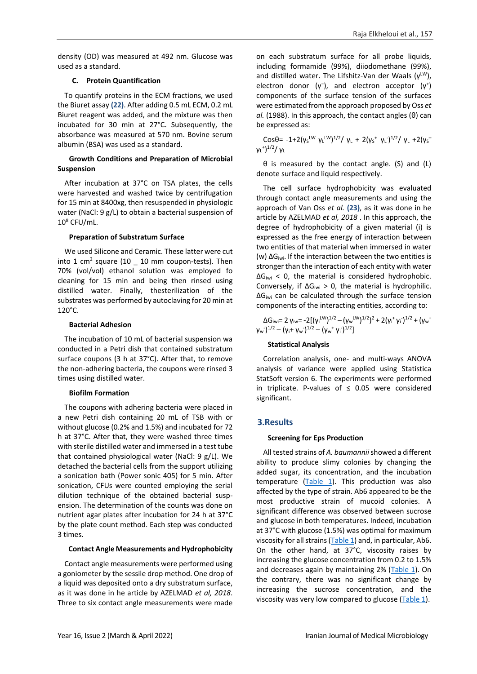density (OD) was measured at 492 nm. Glucose was used as a standard.

### **C. Protein Quantification**

To quantify proteins in the ECM fractions, we used the Biuret assay **(22)**. After adding 0.5 mL ECM, 0.2 mL Biuret reagent was added, and the mixture was then incubated for 30 min at 27°C. Subsequently, the absorbance was measured at 570 nm. Bovine serum albumin (BSA) was used as a standard.

### **Growth Conditions and Preparation of Microbial Suspension**

After incubation at 37°C on TSA plates, the cells were harvested and washed twice by centrifugation for 15 min at 8400xg, then resuspended in physiologic water (NaCl: 9 g/L) to obtain a bacterial suspension of  $10^8$  CFU/mL.

### **Preparation of Substratum Surface**

We used Silicone and Ceramic. These latter were cut into 1 cm<sup>2</sup> square  $(10 - 10)$  mm coupon-tests). Then 70% (vol/vol) ethanol solution was employed fo cleaning for 15 min and being then rinsed using distilled water. Finally, thesterilization of the substrates was performed by autoclaving for 20 min at 120°C.

### **Bacterial Adhesion**

The incubation of 10 mL of bacterial suspension wa conducted in a Petri dish that contained substratum surface coupons (3 h at 37°C). After that, to remove the non-adhering bacteria, the coupons were rinsed 3 times using distilled water.

# **Biofilm Formation**

The coupons with adhering bacteria were placed in a new Petri dish containing 20 mL of TSB with or without glucose (0.2% and 1.5%) and incubated for 72 h at 37°C. After that, they were washed three times with sterile distilled water and immersed in a test tube that contained physiological water (NaCl: 9 g/L). We detached the bacterial cells from the support utilizing a sonication bath (Power sonic 405) for 5 min. After sonication, CFUs were counted employing the serial dilution technique of the obtained bacterial suspension. The determination of the counts was done on nutrient agar plates after incubation for 24 h at 37°C by the plate count method. Each step was conducted 3 times.

# **Contact Angle Measurements and Hydrophobicity**

Contact angle measurements were performed using a goniometer by the sessile drop method. One drop of a liquid was deposited onto a dry substratum surface, as it was done in he article by AZELMAD *et al, 2018*. Three to six contact angle measurements were made on each substratum surface for all probe liquids, including formamide (99%), diiodomethane (99%), and distilled water. The Lifshitz-Van der Waals ( $v^{\text{LW}}$ ), electron donor  $(\gamma^-)$ , and electron acceptor  $(\gamma^+)$ components of the surface tension of the surfaces were estimated from the approach proposed by Oss *et al.* (1988). In this approach, the contact angles (θ) can be expressed as:

Cosθ= -1+2(γs<sup>LW</sup> γι<sup>LW</sup>)<sup>1/2</sup>/ γι + 2(γs<sup>+</sup> γι<sup>-)1/2</sup>/ γι +2(γs<sup>-</sup> γ<sub>L</sub>\*)<sup>1/2</sup>/ γι

θ is measured by the contact angle. (S) and (L) denote surface and liquid respectively.

The cell surface hydrophobicity was evaluated through contact angle measurements and using the approach of Van Oss *et al.* **(23)**, as it was done in he article by AZELMAD *et al, 2018* . In this approach, the degree of hydrophobicity of a given material (i) is expressed as the free energy of interaction between two entities of that material when immersed in water (w) ΔGiwi. If the interaction between the two entities is stronger than the interaction of each entity with water  $\Delta G_{\text{iwi}}$  < 0, the material is considered hydrophobic. Conversely, if  $\Delta G_{\text{iwi}} > 0$ , the material is hydrophilic.  $\Delta G_{\text{iwi}}$  can be calculated through the surface tension components of the interacting entities, according to:

ΔG<sub>iwi</sub>= 2 γ<sub>iw</sub>= -2[(γ<sub>i</sub><sup>LW</sup>)<sup>1/2</sup> – (γ<sub>w</sub><sup>LW</sup>)<sup>1/2</sup>)<sup>2</sup> + 2(γ<sub>i</sub><sup>+</sup>γ<sub>i</sub>)<sup>1/2</sup> + (γ<sub>w</sub><sup>+</sup>  $(\gamma_w^{\vphantom{\ast}})^{1/2} - (\gamma_i^{\vphantom{\ast}} + \gamma_w^{\vphantom{\ast}})^{1/2} - (\gamma_w^{\vphantom{\ast}} + \gamma_i^{\vphantom{\ast}})^{1/2}]$ 

# **Statistical Analysis**

Correlation analysis, one- and multi-ways ANOVA analysis of variance were applied using Statistica StatSoft version 6. The experiments were performed in triplicate. P-values of  $\leq$  0.05 were considered significant.

# **3.Results**

# **Screening for Eps Production**

All tested strains of *A. baumannii*showed a different ability to produce slimy colonies by changing the added sugar, its concentration, and the incubation temperature  $(Table 1)$ . This production was also affected by the type of strain. Ab6 appeared to be the most productive strain of mucoid colonies. A significant difference was observed between sucrose and glucose in both temperatures. Indeed, incubation at 37°C with glucose (1.5%) was optimal for maximum viscosity for all strains  $(Table 1)$  and, in particular, Ab6. On the other hand, at 37°C, viscosity raises by increasing the glucose concentration from 0.2 to 1.5% and decreases again by maintaining 2% [\(Table 1\)](#page-3-0). On the contrary, there was no significant change by increasing the sucrose concentration, and the viscosity was very low compared to glucose [\(Table 1\)](#page-3-0).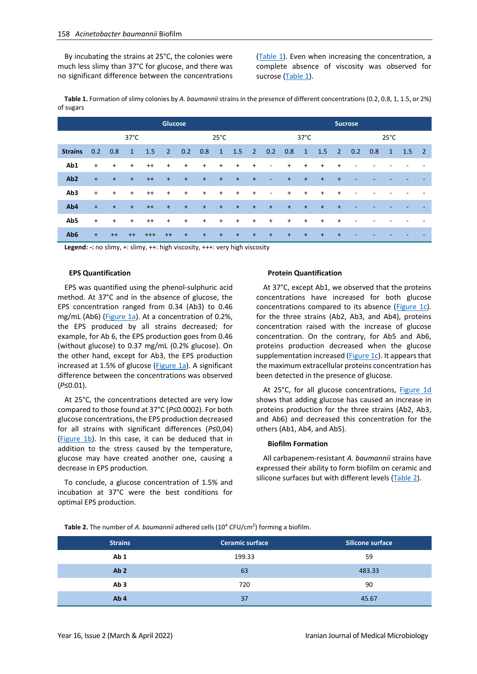By incubating the strains at 25°C, the colonies were much less slimy than 37°C for glucose, and there was no significant difference between the concentrations [\(Table 1\)](#page-3-0). Even when increasing the concentration, a complete absence of viscosity was observed for sucrose [\(Table 1\)](#page-3-0).

<span id="page-3-0"></span>**Table 1.** Formation of slimy colonies by *A. baumannii* strains in the presence of different concentrations (0.2, 0.8, 1, 1.5, or 2%) of sugars

|                 |     | <b>Glucose</b> |              |          |                |                |           |              |           |                | <b>Sucrose</b>           |           |              |           |                |     |     |              |               |  |
|-----------------|-----|----------------|--------------|----------|----------------|----------------|-----------|--------------|-----------|----------------|--------------------------|-----------|--------------|-----------|----------------|-----|-----|--------------|---------------|--|
|                 |     | $37^{\circ}$ C |              |          |                | $25^{\circ}$ C |           |              |           |                | $37^{\circ}$ C           |           |              |           | $25^{\circ}$ C |     |     |              |               |  |
| <b>Strains</b>  | 0.2 | 0.8            | $\mathbf{1}$ | 1.5      | $\overline{2}$ | 0.2            | 0.8       | $\mathbf{1}$ | 1.5       | $\overline{2}$ | 0.2                      | 0.8       | $\mathbf{1}$ | 1.5       | $\overline{2}$ | 0.2 | 0.8 | $\mathbf{1}$ | $1.5 \quad 2$ |  |
| Ab1             | $+$ | $\ddot{}$      | $\ddot{}$    | $^{++}$  | $+$            | $+$            | $\ddot{}$ | $+$          | $\ddot{}$ | $\ddot{}$      | $\overline{\phantom{a}}$ | $+$       | $\ddot{}$    | $\ddot{}$ | $\ddot{}$      |     |     |              |               |  |
| Ab <sub>2</sub> | $+$ | $+$            | $\ddot{}$    | $++$     | $+$            | $+$            | $+$       | $+$          | $+$       | $+$            | $\overline{\phantom{a}}$ | $\ddot{}$ | $+$          | $+$       | $+$            |     |     |              |               |  |
| Ab3             | $+$ | $\ddot{}$      | $\ddot{}$    | $^{++}$  | $+$            | $+$            | $+$       | $+$          | $+$       | $\ddot{}$      | $\overline{\phantom{a}}$ | $+$       | $\ddot{}$    | $+$       | $\ddot{}$      |     |     |              |               |  |
| Ab4             | $+$ | $+$            | $+$          | $++$     | $+$            | $+$            | $+$       | $+$          | $+$       | $+$            | $+$                      | $+$       | $+$          | $+$       | $+$            |     |     |              |               |  |
| Ab5             | $+$ | $\ddot{}$      | $\ddot{}$    | $^{++}$  | $+$            | $+$            | $+$       | $+$          | $+$       | $+$            | $\ddot{}$                | $+$       | $\ddot{}$    | $\ddot{}$ | $\ddot{}$      |     |     |              |               |  |
| Ab <sub>6</sub> | $+$ | $++$           | $^{++}$      | $^{+++}$ | $++$           | $+$            | $+$       | $+$          | $+$       | $\ddot{}$      | $+$                      | $\ddot{}$ | $+$          | $\ddot{}$ | $\ddot{}$      |     |     |              |               |  |

**Legend: -:** no slimy, +: slimy, ++: high viscosity, +++: very high viscosity

#### **EPS Quantification**

EPS was quantified using the phenol-sulphuric acid method. At 37°C and in the absence of glucose, the EPS concentration ranged from 0.34 (Ab3) to 0.46 mg/mL (Ab6) [\(Figure 1a\)](#page-5-0). At a concentration of 0.2%, the EPS produced by all strains decreased; for example, for Ab 6, the EPS production goes from 0.46 (without glucose) to 0.37 mg/mL (0.2% glucose). On the other hand, except for Ab3, the EPS production increased at 1.5% of glucose [\(Figure 1a\)](#page-5-0). A significant difference between the concentrations was observed (*P*≤0.01).

At 25°C, the concentrations detected are very low compared to those found at 37°C (*P*≤0.0002). For both glucose concentrations, the EPS production decreased for all strains with significant differences (*P*≤0,04) [\(Figure 1b\)](#page-5-0). In this case, it can be deduced that in addition to the stress caused by the temperature, glucose may have created another one, causing a decrease in EPS production.

To conclude, a glucose concentration of 1.5% and incubation at 37°C were the best conditions for optimal EPS production.

#### **Protein Quantification**

At 37°C, except Ab1, we observed that the proteins concentrations have increased for both glucose concentrations compared to its absence ( $Figure 1c$ ). for the three strains (Ab2, Ab3, and Ab4), proteins concentration raised with the increase of glucose concentration. On the contrary, for Ab5 and Ab6, proteins production decreased when the glucose supplementation increased [\(Figure 1c\)](#page-5-0). It appears that the maximum extracellular proteins concentration has been detected in the presence of glucose.

At 25°C, for all glucose concentrations, [Figure 1d](#page-5-0) shows that adding glucose has caused an increase in proteins production for the three strains (Ab2, Ab3, and Ab6) and decreased this concentration for the others (Ab1, Ab4, and Ab5).

#### **Biofilm Formation**

All carbapenem-resistant *A. baumannii* strains have expressed their ability to form biofilm on ceramic and silicone surfaces but with different levels [\(Table 2\)](#page-3-1).

<span id="page-3-1"></span>Table 2. The number of A. baumannii adhered cells (10<sup>4</sup> CFU/cm<sup>2</sup>) forming a biofilm.

| <b>Strains</b>  | <b>Ceramic surface</b> | Silicone surface |
|-----------------|------------------------|------------------|
| Ab <sub>1</sub> | 199.33                 | 59               |
| Ab <sub>2</sub> | 63                     | 483.33           |
| Ab <sub>3</sub> | 720                    | 90               |
| Ab <sub>4</sub> | 37                     | 45.67            |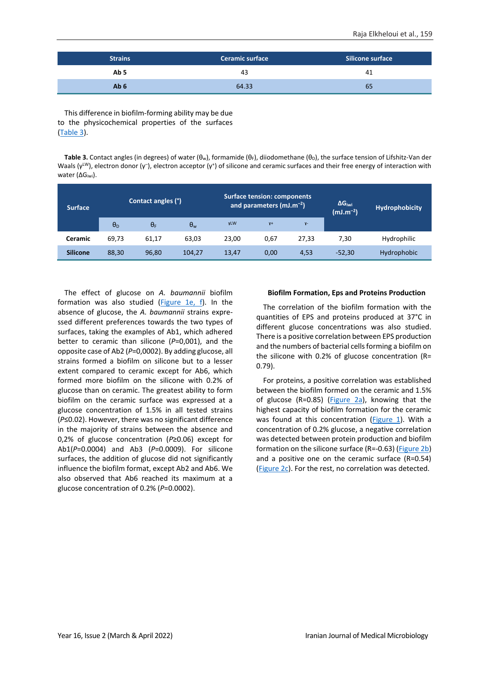| <b>Strains</b>  | <b>Ceramic surface</b> | Silicone surface |  |  |  |
|-----------------|------------------------|------------------|--|--|--|
| Ab 5            | 43                     | 41               |  |  |  |
| Ab <sub>6</sub> | 64.33                  | 65               |  |  |  |

This difference in biofilm-forming ability may be due to the physicochemical properties of the surfaces [\(Table 3\)](#page-4-0).

<span id="page-4-0"></span>**Table 3.** Contact angles (in degrees) of water (θ<sub>w</sub>), formamide (θ<sub>F</sub>), diiodomethane (θ<sub>D</sub>), the surface tension of Lifshitz-Van der Waals (γ<sup>LW</sup>), electron donor (γ<sup>-</sup>), electron acceptor (γ<sup>+</sup>) of silicone and ceramic surfaces and their free energy of interaction with water (ΔG<sub>iwi</sub>).

| <b>Surface</b>  |                  | Contact angles (°) |              |            | <b>Surface tension: components</b><br>and parameters $(mJ.m^{-2})$ |       | $\Delta G_{\text{iwi}}$<br>$(mJ.m^{-2})$ | Hydrophobicity |  |
|-----------------|------------------|--------------------|--------------|------------|--------------------------------------------------------------------|-------|------------------------------------------|----------------|--|
|                 | $\theta_{\rm D}$ | $\theta_F$         | $\theta_{w}$ | <b>yLW</b> | $Y^+$                                                              | $Y^-$ |                                          |                |  |
| <b>Ceramic</b>  | 69.73            | 61,17              | 63,03        | 23,00      | 0,67                                                               | 27,33 | 7.30                                     | Hydrophilic    |  |
| <b>Silicone</b> | 88,30            | 96,80              | 104.27       | 13,47      | 0,00                                                               | 4,53  | $-52,30$                                 | Hydrophobic    |  |

The effect of glucose on *A. baumannii* biofilm formation was also studied [\(Figure 1e, f\)](#page-5-0). In the absence of glucose, the *A. baumannii* strains expressed different preferences towards the two types of surfaces, taking the examples of Ab1, which adhered better to ceramic than silicone (*P*=0,001), and the opposite case of Ab2 (*P*=0,0002). By adding glucose, all strains formed a biofilm on silicone but to a lesser extent compared to ceramic except for Ab6, which formed more biofilm on the silicone with 0.2% of glucose than on ceramic. The greatest ability to form biofilm on the ceramic surface was expressed at a glucose concentration of 1.5% in all tested strains (*P*≤0.02). However, there was no significant difference in the majority of strains between the absence and 0,2% of glucose concentration (*P*≥0.06) except for Ab1(*P*=0.0004) and Ab3 (*P*=0.0009). For silicone surfaces, the addition of glucose did not significantly influence the biofilm format, except Ab2 and Ab6. We also observed that Ab6 reached its maximum at a glucose concentration of 0.2% (*P*=0.0002).

# **Biofilm Formation, Eps and Proteins Production**

The correlation of the biofilm formation with the quantities of EPS and proteins produced at 37°C in different glucose concentrations was also studied. There is a positive correlation between EPS production and the numbers of bacterial cells forming a biofilm on the silicone with 0.2% of glucose concentration (R= 0.79).

For proteins, a positive correlation was established between the biofilm formed on the ceramic and 1.5% of glucose (R=0.85) (Figure  $2a$ ), knowing that the highest capacity of biofilm formation for the ceramic was found at this concentration [\(Figure 1\)](#page-5-0). With a concentration of 0.2% glucose, a negative correlation was detected between protein production and biofilm formation on the silicone surface (R=-0.63) [\(Figure 2b\)](#page-6-0) and a positive one on the ceramic surface (R=0.54) [\(Figure](#page-6-0) 2c). For the rest, no correlation was detected.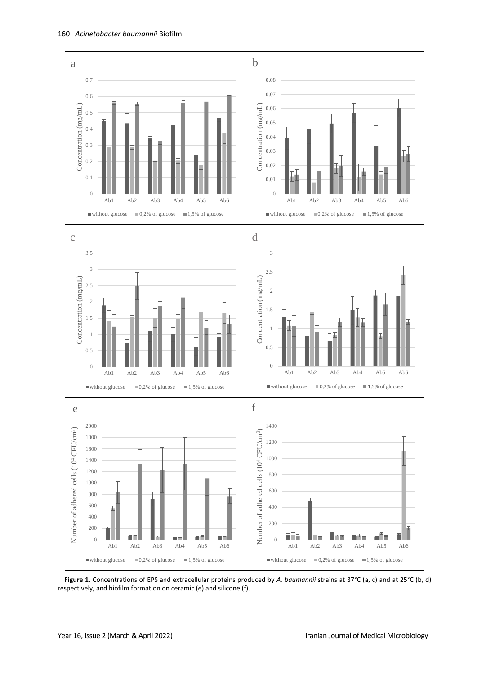

<span id="page-5-0"></span>**Figure 1.** Concentrations of EPS and extracellular proteins produced by *A. baumannii* strains at 37°C (a, c) and at 25°C (b, d) respectively, and biofilm formation on ceramic (e) and silicone (f).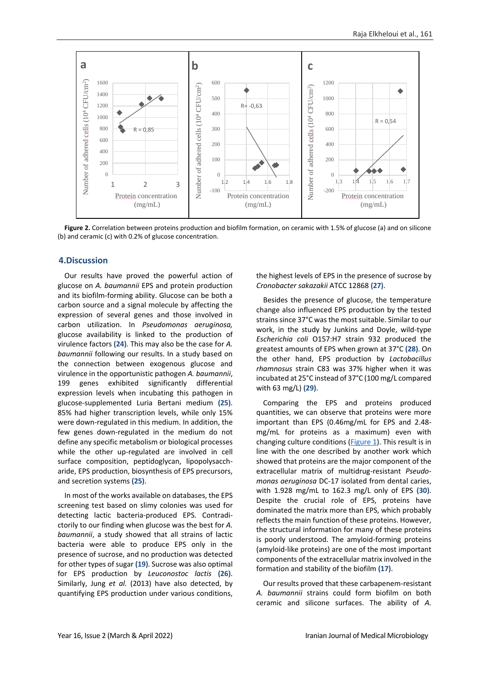

<span id="page-6-0"></span>Figure 2. Correlation between proteins production and biofilm formation, on ceramic with 1.5% of glucose (a) and on silicone (b) and ceramic (c) with 0.2% of glucose concentration.

#### **4.Discussion**

Our results have proved the powerful action of glucose on *A. baumannii* EPS and protein production and its biofilm-forming ability. Glucose can be both a carbon source and a signal molecule by affecting the expression of several genes and those involved in carbon utilization. In *Pseudomonas aeruginosa,* glucose availability is linked to the production of virulence factors **(24)**. This may also be the case for *A. baumannii* following our results. In a study based on the connection between exogenous glucose and virulence in the opportunistic pathogen *A. baumannii*, 199 genes exhibited significantly differential expression levels when incubating this pathogen in glucose-supplemented Luria Bertani medium **(25)**. 85% had higher transcription levels, while only 15% were down-regulated in this medium. In addition, the few genes down-regulated in the medium do not define any specific metabolism or biological processes while the other up-regulated are involved in cell surface composition, peptidoglycan, lipopolysaccharide, EPS production, biosynthesis of EPS precursors, and secretion systems **(25)**.

In most of the works available on databases, the EPS screening test based on slimy colonies was used for detecting lactic bacteria-produced EPS. Contradictorily to our finding when glucose was the best for *A. baumannii*, a study showed that all strains of lactic bacteria were able to produce EPS only in the presence of sucrose, and no production was detected for other types of sugar **(19)**. Sucrose was also optimal for EPS production by *Leuconostoc lactis* **(26)**. Similarly, Jung *et al.* (2013) have also detected, by quantifying EPS production under various conditions,

the highest levels of EPS in the presence of sucrose by *Cronobacter sakazakii* ATCC 12868 **(27)**.

Besides the presence of glucose, the temperature change also influenced EPS production by the tested strains since 37°C was the most suitable. Similar to our work, in the study by Junkins and Doyle, wild-type *Escherichia coli* O157:H7 strain 932 produced the greatest amounts of EPS when grown at 37°C **(28)**. On the other hand, EPS production by *Lactobacillus rhamnosus* strain C83 was 37% higher when it was incubated at 25°C instead of 37°C (100 mg/L compared with 63 mg/L) **(29)**.

Comparing the EPS and proteins produced quantities, we can observe that proteins were more important than EPS (0.46mg/mL for EPS and 2.48 mg/mL for proteins as a maximum) even with changing culture conditions ( $Figure 1$ ). This result is in line with the one described by another work which showed that proteins are the major component of the extracellular matrix of multidrug-resistant *Pseudomonas aeruginosa* DC-17 isolated from dental caries, with 1.928 mg/mL to 162.3 mg/L only of EPS **(30)**. Despite the crucial role of EPS, proteins have dominated the matrix more than EPS, which probably reflects the main function of these proteins. However, the structural information for many of these proteins is poorly understood. The amyloid-forming proteins (amyloid-like proteins) are one of the most important components of the extracellular matrix involved in the formation and stability of the biofilm **(17)**.

Our results proved that these carbapenem-resistant *A. baumannii* strains could form biofilm on both ceramic and silicone surfaces. The ability of *A.*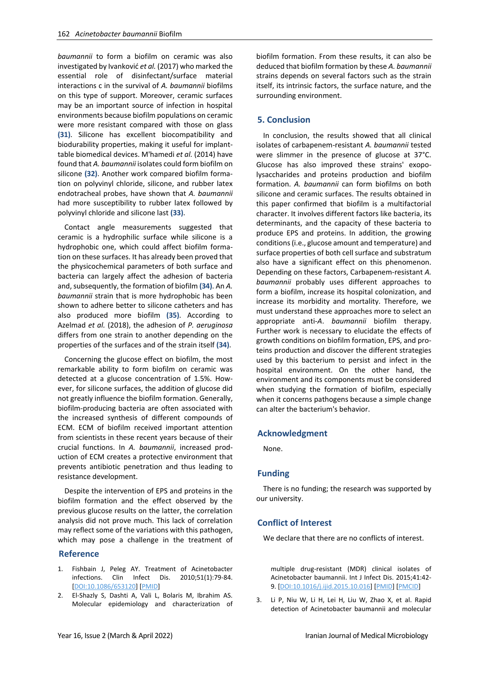*baumannii* to form a biofilm on ceramic was also investigated by Ivanković *et al.* (2017) who marked the essential role of disinfectant/surface material interactions c in the survival of *A. baumannii* biofilms on this type of support. Moreover, ceramic surfaces may be an important source of infection in hospital environments because biofilm populations on ceramic were more resistant compared with those on glass **(31)**. Silicone has excellent biocompatibility and biodurability properties, making it useful for implanttable biomedical devices. M'hamedi *et al.* (2014) have found that *A. baumannii* isolates could form biofilm on silicone **(32)**. Another work compared biofilm formation on polyvinyl chloride, silicone, and rubber latex endotracheal probes, have shown that *A. baumannii* had more susceptibility to rubber latex followed by polyvinyl chloride and silicone last **(33)**.

Contact angle measurements suggested that ceramic is a hydrophilic surface while silicone is a hydrophobic one, which could affect biofilm formation on these surfaces. It has already been proved that the physicochemical parameters of both surface and bacteria can largely affect the adhesion of bacteria and, subsequently, the formation of biofilm **(34)**. An *A. baumannii* strain that is more hydrophobic has been shown to adhere better to silicone catheters and has also produced more biofilm **(35)**. According to Azelmad *et al.* (2018), the adhesion of *P. aeruginosa* differs from one strain to another depending on the properties of the surfaces and of the strain itself **(34)**.

Concerning the glucose effect on biofilm, the most remarkable ability to form biofilm on ceramic was detected at a glucose concentration of 1.5%. However, for silicone surfaces, the addition of glucose did not greatly influence the biofilm formation. Generally, biofilm-producing bacteria are often associated with the increased synthesis of different compounds of ECM. ECM of biofilm received important attention from scientists in these recent years because of their crucial functions. In *A. baumannii*, increased production of ECM creates a protective environment that prevents antibiotic penetration and thus leading to resistance development.

Despite the intervention of EPS and proteins in the biofilm formation and the effect observed by the previous glucose results on the latter, the correlation analysis did not prove much. This lack of correlation may reflect some of the variations with this pathogen, which may pose a challenge in the treatment of

#### **Reference**

- 1. Fishbain J, Peleg AY. Treatment of Acinetobacter infections. Clin Infect Dis. 2010;51(1):79-84. [\[DOI:10.1086/653120\]](https://doi.org/10.1086/653120) [\[PMID\]](https://www.ncbi.nlm.nih.gov/pubmed/20504234)
- 2. El-Shazly S, Dashti A, Vali L, Bolaris M, Ibrahim AS. Molecular epidemiology and characterization of

biofilm formation. From these results, it can also be deduced that biofilm formation by these *A. baumannii* strains depends on several factors such as the strain itself, its intrinsic factors, the surface nature, and the surrounding environment.

### **5. Conclusion**

In conclusion, the results showed that all clinical isolates of carbapenem-resistant *A. baumannii* tested were slimmer in the presence of glucose at 37°C. Glucose has also improved these strains' exopolysaccharides and proteins production and biofilm formation. *A. baumannii* can form biofilms on both silicone and ceramic surfaces. The results obtained in this paper confirmed that biofilm is a multifactorial character. It involves different factors like bacteria, its determinants, and the capacity of these bacteria to produce EPS and proteins. In addition, the growing conditions (i.e., glucose amount and temperature) and surface properties of both cell surface and substratum also have a significant effect on this phenomenon. Depending on these factors, Carbapenem-resistant *A. baumannii* probably uses different approaches to form a biofilm, increase its hospital colonization, and increase its morbidity and mortality. Therefore, we must understand these approaches more to select an appropriate anti-*A*. *baumannii* biofilm therapy. Further work is necessary to elucidate the effects of growth conditions on biofilm formation, EPS, and proteins production and discover the different strategies used by this bacterium to persist and infect in the hospital environment. On the other hand, the environment and its components must be considered when studying the formation of biofilm, especially when it concerns pathogens because a simple change can alter the bacterium's behavior.

#### **Acknowledgment**

None.

# **Funding**

There is no funding; the research was supported by our university.

# **Conflict of Interest**

We declare that there are no conflicts of interest.

multiple drug-resistant (MDR) clinical isolates of Acinetobacter baumannii. Int J Infect Dis. 2015;41:42- 9. [\[DOI:10.1016/j.ijid.2015.10.016\]](https://doi.org/10.1016/j.ijid.2015.10.016) [\[PMID\]](https://www.ncbi.nlm.nih.gov/pubmed/26518066) [\[PMCID\]](http://www.ncbi.nlm.nih.gov/pmc/articles/PMC4691561)

3. Li P, Niu W, Li H, Lei H, Liu W, Zhao X, et al. Rapid detection of Acinetobacter baumannii and molecular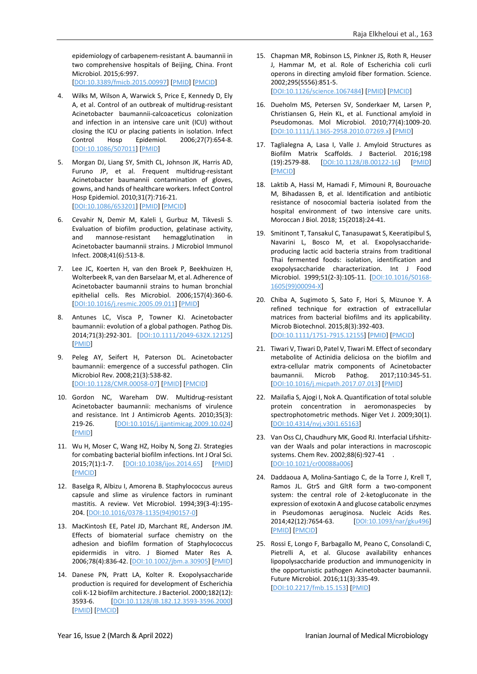epidemiology of carbapenem-resistant A. baumannii in two comprehensive hospitals of Beijing, China. Front Microbiol. 2015;6:997. [\[DOI:10.3389/fmicb.2015.00997\]](https://doi.org/10.3389/fmicb.2015.00997) [\[PMID\]](https://www.ncbi.nlm.nih.gov/pubmed/26441924) [\[PMCID\]](http://www.ncbi.nlm.nih.gov/pmc/articles/PMC4585070)

- 4. Wilks M, Wilson A, Warwick S, Price E, Kennedy D, Ely A, et al. Control of an outbreak of multidrug-resistant Acinetobacter baumannii-calcoaceticus colonization and infection in an intensive care unit (ICU) without closing the ICU or placing patients in isolation. Infect Control Hosp Epidemiol. 2006;27(7):654-8. [\[DOI:10.1086/507011\]](https://doi.org/10.1086/507011) [\[PMID\]](https://www.ncbi.nlm.nih.gov/pubmed/16807837)
- 5. Morgan DJ, Liang SY, Smith CL, Johnson JK, Harris AD, Furuno JP, et al. Frequent multidrug-resistant Acinetobacter baumannii contamination of gloves, gowns, and hands of healthcare workers. Infect Control Hosp Epidemiol. 2010;31(7):716-21. [\[DOI:10.1086/653201\]](https://doi.org/10.1086/653201) [\[PMID\]](https://www.ncbi.nlm.nih.gov/pubmed/20486855) [\[PMCID\]](http://www.ncbi.nlm.nih.gov/pmc/articles/PMC3010849)
- 6. Cevahir N, Demir M, Kaleli I, Gurbuz M, Tikvesli S. Evaluation of biofilm production, gelatinase activity, and mannose-resistant hemagglutination in Acinetobacter baumannii strains. J Microbiol Immunol Infect. 2008;41(6):513-8.
- 7. Lee JC, Koerten H, van den Broek P, Beekhuizen H, Wolterbeek R, van den Barselaar M, et al. Adherence of Acinetobacter baumannii strains to human bronchial epithelial cells. Res Microbiol. 2006;157(4):360-6. [\[DOI:10.1016/j.resmic.2005.09.011\]](https://doi.org/10.1016/j.resmic.2005.09.011) [\[PMID\]](https://www.ncbi.nlm.nih.gov/pubmed/16326077)
- 8. Antunes LC, Visca P, Towner KJ. Acinetobacter baumannii: evolution of a global pathogen. Pathog Dis. 2014;71(3):292-301. [\[DOI:10.1111/2049-632X.12125\]](https://doi.org/10.1111/2049-632X.12125) [\[PMID\]](https://www.ncbi.nlm.nih.gov/pubmed/24376225)
- 9. Peleg AY, Seifert H, Paterson DL. Acinetobacter baumannii: emergence of a successful pathogen. Clin Microbiol Rev. 2008;21(3):538-82. [\[DOI:10.1128/CMR.00058-07\]](https://doi.org/10.1128/CMR.00058-07) [\[PMID\]](https://www.ncbi.nlm.nih.gov/pubmed/18625687) [\[PMCID\]](http://www.ncbi.nlm.nih.gov/pmc/articles/PMC2493088)
- 10. Gordon NC, Wareham DW. Multidrug-resistant Acinetobacter baumannii: mechanisms of virulence and resistance. Int J Antimicrob Agents. 2010;35(3): 219-26. [\[DOI:10.1016/j.ijantimicag.2009.10.024\]](https://doi.org/10.1016/j.ijantimicag.2009.10.024) [\[PMID\]](https://www.ncbi.nlm.nih.gov/pubmed/20047818)
- 11. Wu H, Moser C, Wang HZ, Hoiby N, Song ZJ. Strategies for combating bacterial biofilm infections. Int J Oral Sci. 2015;7(1):1-7. [\[DOI:10.1038/ijos.2014.65\]](https://doi.org/10.1038/ijos.2014.65) [\[PMID\]](https://www.ncbi.nlm.nih.gov/pubmed/25504208) [\[PMCID\]](http://www.ncbi.nlm.nih.gov/pmc/articles/PMC4817533)
- 12. Baselga R, Albizu I, Amorena B. Staphylococcus aureus capsule and slime as virulence factors in ruminant mastitis. A review. Vet Microbiol. 1994;39(3-4):195- 204. [\[DOI:10.1016/0378-1135\(94\)90157-0\]](https://doi.org/10.1016/0378-1135(94)90157-0)
- 13. MacKintosh EE, Patel JD, Marchant RE, Anderson JM. Effects of biomaterial surface chemistry on the adhesion and biofilm formation of Staphylococcus epidermidis in vitro. J Biomed Mater Res A. 2006;78(4):836-42. [\[DOI:10.1002/jbm.a.30905\]](https://doi.org/10.1002/jbm.a.30905) [\[PMID\]](https://www.ncbi.nlm.nih.gov/pubmed/16817192)
- 14. Danese PN, Pratt LA, Kolter R. Exopolysaccharide production is required for development of Escherichia coli K-12 biofilm architecture. J Bacteriol. 2000;182(12): 3593-6. [\[DOI:10.1128/JB.182.12.3593-3596.2000\]](https://doi.org/10.1128/JB.182.12.3593-3596.2000) [\[PMID\]](https://www.ncbi.nlm.nih.gov/pubmed/10852895) [\[PMCID\]](http://www.ncbi.nlm.nih.gov/pmc/articles/PMC101973)
- 15. Chapman MR, Robinson LS, Pinkner JS, Roth R, Heuser J, Hammar M, et al. Role of Escherichia coli curli operons in directing amyloid fiber formation. Science. 2002;295(5556):851-5. [\[DOI:10.1126/science.1067484\]](https://doi.org/10.1126/science.1067484) [\[PMID\]](https://www.ncbi.nlm.nih.gov/pubmed/11823641) [\[PMCID\]](http://www.ncbi.nlm.nih.gov/pmc/articles/PMC2838482)
- 16. Dueholm MS, Petersen SV, Sonderkaer M, Larsen P, Christiansen G, Hein KL, et al. Functional amyloid in Pseudomonas. Mol Microbiol. 2010;77(4):1009-20. [\[DOI:10.1111/j.1365-2958.2010.07269.x\]](https://doi.org/10.1111/j.1365-2958.2010.07269.x) [\[PMID\]](https://www.ncbi.nlm.nih.gov/pubmed/20572935)
- 17. Taglialegna A, Lasa I, Valle J. Amyloid Structures as Biofilm Matrix Scaffolds. J Bacteriol. 2016;198 (19):2579-88. [\[DOI:10.1128/JB.00122-16\]](https://doi.org/10.1128/JB.00122-16) [\[PMID\]](https://www.ncbi.nlm.nih.gov/pubmed/27185827) [\[PMCID\]](http://www.ncbi.nlm.nih.gov/pmc/articles/PMC5019065)
- 18. Laktib A, Hassi M, Hamadi F, Mimouni R, Bourouache M, Bihadassen B, et al. Identification and antibiotic resistance of nosocomial bacteria isolated from the hospital environment of two intensive care units. Moroccan J Biol. 2018; 15(2018):24-41.
- 19. Smitinont T, Tansakul C, Tanasupawat S, Keeratipibul S, Navarini L, Bosco M, et al. Exopolysaccharideproducing lactic acid bacteria strains from traditional Thai fermented foods: isolation, identification and exopolysaccharide characterization. Int J Food Microbiol. 1999;51(2-3):105-11. [\[DOI:10.1016/S0168-](https://doi.org/10.1016/S0168-1605(99)00094-X) [1605\(99\)00094-X\]](https://doi.org/10.1016/S0168-1605(99)00094-X)
- 20. Chiba A, Sugimoto S, Sato F, Hori S, Mizunoe Y. A refined technique for extraction of extracellular matrices from bacterial biofilms and its applicability. Microb Biotechnol. 2015;8(3):392-403. [\[DOI:10.1111/1751-7915.12155\]](https://doi.org/10.1111/1751-7915.12155) [\[PMID\]](https://www.ncbi.nlm.nih.gov/pubmed/25154775) [\[PMCID\]](http://www.ncbi.nlm.nih.gov/pmc/articles/PMC4408173)
- 21. Tiwari V, Tiwari D, Patel V, Tiwari M. Effect of secondary metabolite of Actinidia deliciosa on the biofilm and extra-cellular matrix components of Acinetobacter baumannii. Microb Pathog. 2017;110:345-51. [\[DOI:10.1016/j.micpath.2017.07.013\]](https://doi.org/10.1016/j.micpath.2017.07.013) [\[PMID\]](https://www.ncbi.nlm.nih.gov/pubmed/28705748)
- 22. Mailafia S, Ajogi I, Nok A. Quantification of total soluble protein concentration in aeromonaspecies by spectrophotometric methods. Niger Vet J. 2009;30(1). [\[DOI:10.4314/nvj.v30i1.65163\]](https://doi.org/10.4314/nvj.v30i1.65163)
- 23. Van Oss CJ, Chaudhury MK, Good RJ. Interfacial Lifshitzvan der Waals and polar interactions in macroscopic systems. Chem Rev. 2002;88(6):927-41 . [\[DOI:10.1021/cr00088a006\]](https://doi.org/10.1021/cr00088a006)
- 24. Daddaoua A, Molina-Santiago C, de la Torre J, Krell T, Ramos JL. GtrS and GltR form a two-component system: the central role of 2-ketogluconate in the expression of exotoxin A and glucose catabolic enzymes in Pseudomonas aeruginosa. Nucleic Acids Res. 2014;42(12):7654-63. [\[DOI:10.1093/nar/gku496\]](https://doi.org/10.1093/nar/gku496) [\[PMID\]](https://www.ncbi.nlm.nih.gov/pubmed/24920832) [\[PMCID\]](http://www.ncbi.nlm.nih.gov/pmc/articles/PMC4081096)
- 25. Rossi E, Longo F, Barbagallo M, Peano C, Consolandi C, Pietrelli A, et al. Glucose availability enhances lipopolysaccharide production and immunogenicity in the opportunistic pathogen Acinetobacter baumannii. Future Microbiol. 2016;11(3):335-49. [\[DOI:10.2217/fmb.15.153\]](https://doi.org/10.2217/fmb.15.153) [\[PMID\]](https://www.ncbi.nlm.nih.gov/pubmed/26934424)